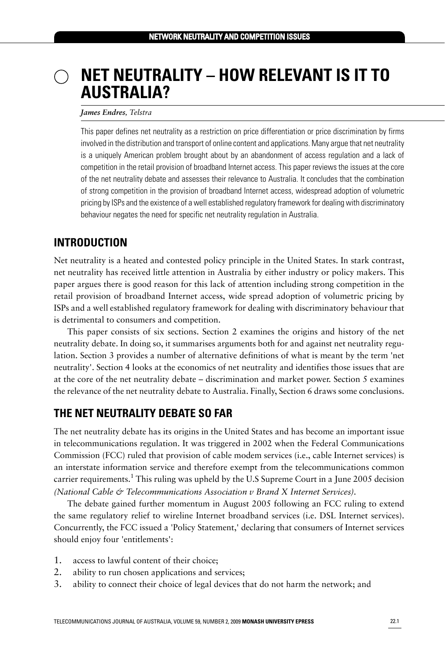# **NET NEUTRALITY – HOW RELEVANT IS IT TO AUSTRALIA?**

#### *James Endres, Telstra*

This paper defines net neutrality as a restriction on price differentiation or price discrimination by firms involved in the distribution and transport of online content and applications. Many argue that net neutrality is a uniquely American problem brought about by an abandonment of access regulation and a lack of competition in the retail provision of broadband Internet access. This paper reviews the issues at the core of the net neutrality debate and assesses their relevance to Australia. It concludes that the combination of strong competition in the provision of broadband Internet access, widespread adoption of volumetric pricing by ISPs and the existence of a well established regulatory framework for dealing with discriminatory behaviour negates the need for specific net neutrality regulation in Australia.

### **INTRODUCTION**

Net neutrality is a heated and contested policy principle in the United States. In stark contrast, net neutrality has received little attention in Australia by either industry or policy makers. This paper argues there is good reason for this lack of attention including strong competition in the retail provision of broadband Internet access, wide spread adoption of volumetric pricing by ISPs and a well established regulatory framework for dealing with discriminatory behaviour that is detrimental to consumers and competition.

This paper consists of six sections. Section 2 examines the origins and history of the net neutrality debate. In doing so, it summarises arguments both for and against net neutrality regulation. Section 3 provides a number of alternative definitions of what is meant by the term 'net neutrality'. Section 4 looks at the economics of net neutrality and identifies those issues that are at the core of the net neutrality debate – discrimination and market power. Section 5 examines the relevance of the net neutrality debate to Australia. Finally, Section 6 draws some conclusions.

### **THE NET NEUTRALITY DEBATE SO FAR**

The net neutrality debate has its origins in the United States and has become an important issue in telecommunications regulation. It was triggered in 2002 when the Federal Communications Commission (FCC) ruled that provision of cable modem services (i.e., cable Internet services) is an interstate information service and therefore exempt from the telecommunications common carrier requirements.<sup>1</sup> This ruling was upheld by the U.S Supreme Court in a June 2005 decision *(National Cable & Telecommunications Association v Brand X Internet Services).*

The debate gained further momentum in August 2005 following an FCC ruling to extend the same regulatory relief to wireline Internet broadband services (i.e. DSL Internet services). Concurrently, the FCC issued a 'Policy Statement,' declaring that consumers of Internet services should enjoy four 'entitlements':

- 1. access to lawful content of their choice;
- 2. ability to run chosen applications and services;
- 3. ability to connect their choice of legal devices that do not harm the network; and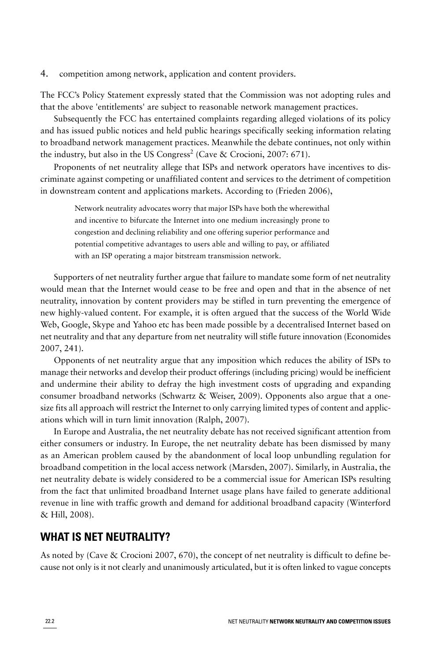4. competition among network, application and content providers.

The FCC's Policy Statement expressly stated that the Commission was not adopting rules and that the above 'entitlements' are subject to reasonable network management practices.

Subsequently the FCC has entertained complaints regarding alleged violations of its policy and has issued public notices and held public hearings specifically seeking information relating to broadband network management practices. Meanwhile the debate continues, not only within the industry, but also in the US Congress<sup>2</sup> ([Cave & Crocioni, 2007:](#page-9-0) 671).

Proponents of net neutrality allege that ISPs and network operators have incentives to discriminate against competing or unaffiliated content and services to the detriment of competition in downstream content and applications markets. According to ([Frieden 2006](#page-9-1)),

Network neutrality advocates worry that major ISPs have both the wherewithal and incentive to bifurcate the Internet into one medium increasingly prone to congestion and declining reliability and one offering superior performance and potential competitive advantages to users able and willing to pay, or affiliated with an ISP operating a major bitstream transmission network.

Supporters of net neutrality further argue that failure to mandate some form of net neutrality would mean that the Internet would cease to be free and open and that in the absence of net neutrality, innovation by content providers may be stifled in turn preventing the emergence of new highly-valued content. For example, it is often argued that the success of the World Wide Web, Google, Skype and Yahoo etc has been made possible by a decentralised Internet based on net neutrality and that any departure from net neutrality will stifle future innovation ([Economides](#page-9-2) [2007](#page-9-2), 241).

Opponents of net neutrality argue that any imposition which reduces the ability of ISPs to manage their networks and develop their product offerings (including pricing) would be inefficient and undermine their ability to defray the high investment costs of upgrading and expanding consumer broadband networks [\(Schwartz & Weiser, 2009\)](#page-9-3). Opponents also argue that a onesize fits all approach will restrict the Internet to only carrying limited types of content and applications which will in turn limit innovation [\(Ralph, 2007\)](#page-9-4).

In Europe and Australia, the net neutrality debate has not received significant attention from either consumers or industry. In Europe, the net neutrality debate has been dismissed by many as an American problem caused by the abandonment of local loop unbundling regulation for broadband competition in the local access network ([Marsden, 2007](#page-9-5)). Similarly, in Australia, the net neutrality debate is widely considered to be a commercial issue for American ISPs resulting from the fact that unlimited broadband Internet usage plans have failed to generate additional revenue in line with traffic growth and demand for additional broadband capacity ([Winterford](#page-9-6) [& Hill, 2008\)](#page-9-6).

### **WHAT IS NET NEUTRALITY?**

As noted by [\(Cave & Crocioni 2007,](#page-9-0) 670), the concept of net neutrality is difficult to define because not only is it not clearly and unanimously articulated, but it is often linked to vague concepts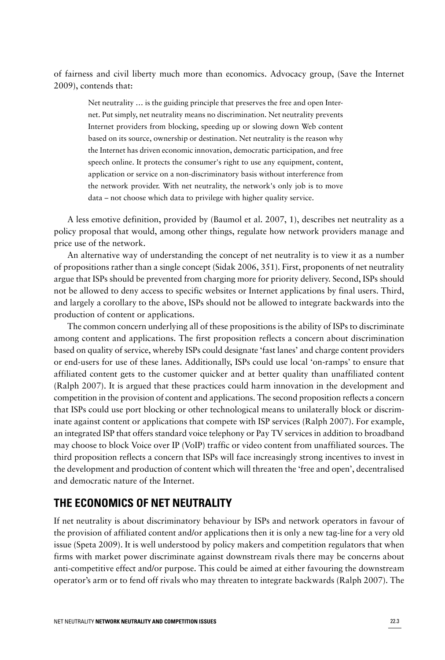of fairness and civil liberty much more than economics. Advocacy group, ([Save the Internet](#page-9-7) [2009\)](#page-9-7), contends that:

Net neutrality … is the guiding principle that preserves the free and open Internet. Put simply, net neutrality means no discrimination. Net neutrality prevents Internet providers from blocking, speeding up or slowing down Web content based on its source, ownership or destination. Net neutrality is the reason why the Internet has driven economic innovation, democratic participation, and free speech online. It protects the consumer's right to use any equipment, content, application or service on a non-discriminatory basis without interference from the network provider. With net neutrality, the network's only job is to move data – not choose which data to privilege with higher quality service.

A less emotive definition, provided by [\(Baumol et al. 2007](#page-9-8), 1), describes net neutrality as a policy proposal that would, among other things, regulate how network providers manage and price use of the network.

An alternative way of understanding the concept of net neutrality is to view it as a number of propositions rather than a single concept [\(Sidak 2006,](#page-9-9) 351). First, proponents of net neutrality argue that ISPs should be prevented from charging more for priority delivery. Second, ISPs should not be allowed to deny access to specific websites or Internet applications by final users. Third, and largely a corollary to the above, ISPs should not be allowed to integrate backwards into the production of content or applications.

The common concern underlying all of these propositions is the ability of ISPs to discriminate among content and applications. The first proposition reflects a concern about discrimination based on quality of service, whereby ISPs could designate 'fast lanes' and charge content providers or end-users for use of these lanes. Additionally, ISPs could use local 'on-ramps' to ensure that affiliated content gets to the customer quicker and at better quality than unaffiliated content ([Ralph 2007](#page-9-4)). It is argued that these practices could harm innovation in the development and competition in the provision of content and applications. The second proposition reflects a concern that ISPs could use port blocking or other technological means to unilaterally block or discriminate against content or applications that compete with ISP services ([Ralph 2007\)](#page-9-4). For example, an integrated ISP that offers standard voice telephony or Pay TV services in addition to broadband may choose to block Voice over IP (VoIP) traffic or video content from unaffiliated sources. The third proposition reflects a concern that ISPs will face increasingly strong incentives to invest in the development and production of content which will threaten the 'free and open', decentralised and democratic nature of the Internet.

### **THE ECONOMICS OF NET NEUTRALITY**

If net neutrality is about discriminatory behaviour by ISPs and network operators in favour of the provision of affiliated content and/or applications then it is only a new tag-line for a very old issue [\(Speta 2009\)](#page-9-10). It is well understood by policy makers and competition regulators that when firms with market power discriminate against downstream rivals there may be concerns about anti-competitive effect and/or purpose. This could be aimed at either favouring the downstream operator's arm or to fend off rivals who may threaten to integrate backwards ([Ralph 2007\)](#page-9-4). The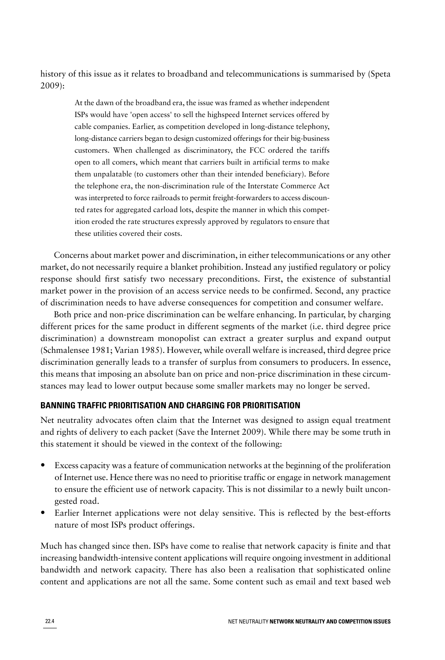history of this issue as it relates to broadband and telecommunications is summarised by [\(Speta](#page-9-10) [2009](#page-9-10)):

At the dawn of the broadband era, the issue was framed as whether independent ISPs would have 'open access' to sell the highspeed Internet services offered by cable companies. Earlier, as competition developed in long-distance telephony, long-distance carriers began to design customized offerings for their big-business customers. When challenged as discriminatory, the FCC ordered the tariffs open to all comers, which meant that carriers built in artificial terms to make them unpalatable (to customers other than their intended beneficiary). Before the telephone era, the non-discrimination rule of the Interstate Commerce Act was interpreted to force railroads to permit freight-forwarders to access discounted rates for aggregated carload lots, despite the manner in which this competition eroded the rate structures expressly approved by regulators to ensure that these utilities covered their costs.

Concerns about market power and discrimination, in either telecommunications or any other market, do not necessarily require a blanket prohibition. Instead any justified regulatory or policy response should first satisfy two necessary preconditions. First, the existence of substantial market power in the provision of an access service needs to be confirmed. Second, any practice of discrimination needs to have adverse consequences for competition and consumer welfare.

Both price and non-price discrimination can be welfare enhancing. In particular, by charging different prices for the same product in different segments of the market (i.e. third degree price discrimination) a downstream monopolist can extract a greater surplus and expand output ([Schmalensee 1981; Varian 1985\)](#page-9-11). However, while overall welfare is increased, third degree price discrimination generally leads to a transfer of surplus from consumers to producers. In essence, this means that imposing an absolute ban on price and non-price discrimination in these circumstances may lead to lower output because some smaller markets may no longer be served.

#### **BANNING TRAFFIC PRIORITISATION AND CHARGING FOR PRIORITISATION**

Net neutrality advocates often claim that the Internet was designed to assign equal treatment and rights of delivery to each packet ([Save the Internet 2009](#page-9-7)). While there may be some truth in this statement it should be viewed in the context of the following:

- Excess capacity was a feature of communication networks at the beginning of the proliferation of Internet use. Hence there was no need to prioritise traffic or engage in network management to ensure the efficient use of network capacity. This is not dissimilar to a newly built uncongested road.
- Earlier Internet applications were not delay sensitive. This is reflected by the best-efforts nature of most ISPs product offerings.

Much has changed since then. ISPs have come to realise that network capacity is finite and that increasing bandwidth-intensive content applications will require ongoing investment in additional bandwidth and network capacity. There has also been a realisation that sophisticated online content and applications are not all the same. Some content such as email and text based web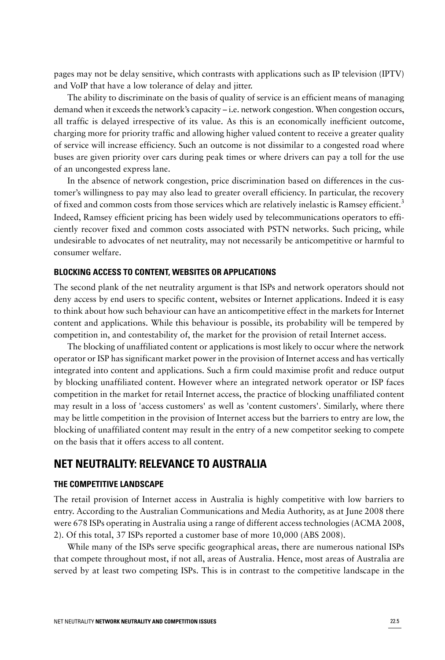pages may not be delay sensitive, which contrasts with applications such as IP television (IPTV) and VoIP that have a low tolerance of delay and jitter.

The ability to discriminate on the basis of quality of service is an efficient means of managing demand when it exceeds the network's capacity – i.e. network congestion. When congestion occurs, all traffic is delayed irrespective of its value. As this is an economically inefficient outcome, charging more for priority traffic and allowing higher valued content to receive a greater quality of service will increase efficiency. Such an outcome is not dissimilar to a congested road where buses are given priority over cars during peak times or where drivers can pay a toll for the use of an uncongested express lane.

In the absence of network congestion, price discrimination based on differences in the customer's willingness to pay may also lead to greater overall efficiency. In particular, the recovery of fixed and common costs from those services which are relatively inelastic is Ramsey efficient.<sup>3</sup> Indeed, Ramsey efficient pricing has been widely used by telecommunications operators to efficiently recover fixed and common costs associated with PSTN networks. Such pricing, while undesirable to advocates of net neutrality, may not necessarily be anticompetitive or harmful to consumer welfare.

#### **BLOCKING ACCESS TO CONTENT, WEBSITES OR APPLICATIONS**

The second plank of the net neutrality argument is that ISPs and network operators should not deny access by end users to specific content, websites or Internet applications. Indeed it is easy to think about how such behaviour can have an anticompetitive effect in the markets for Internet content and applications. While this behaviour is possible, its probability will be tempered by competition in, and contestability of, the market for the provision of retail Internet access.

The blocking of unaffiliated content or applications is most likely to occur where the network operator or ISP has significant market power in the provision of Internet access and has vertically integrated into content and applications. Such a firm could maximise profit and reduce output by blocking unaffiliated content. However where an integrated network operator or ISP faces competition in the market for retail Internet access, the practice of blocking unaffiliated content may result in a loss of 'access customers' as well as 'content customers'. Similarly, where there may be little competition in the provision of Internet access but the barriers to entry are low, the blocking of unaffiliated content may result in the entry of a new competitor seeking to compete on the basis that it offers access to all content.

# **NET NEUTRALITY: RELEVANCE TO AUSTRALIA**

#### **THE COMPETITIVE LANDSCAPE**

The retail provision of Internet access in Australia is highly competitive with low barriers to entry. According to the Australian Communications and Media Authority, as at June 2008 there were 678 ISPs operating in Australia using a range of different access technologies [\(ACMA 2008,](#page-9-12) 2). Of this total, 37 ISPs reported a customer base of more 10,000 [\(ABS 2008\)](#page-9-13).

While many of the ISPs serve specific geographical areas, there are numerous national ISPs that compete throughout most, if not all, areas of Australia. Hence, most areas of Australia are served by at least two competing ISPs. This is in contrast to the competitive landscape in the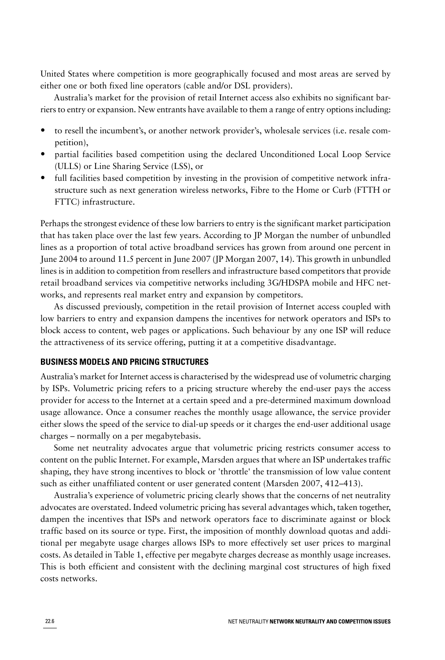United States where competition is more geographically focused and most areas are served by either one or both fixed line operators (cable and/or DSL providers).

Australia's market for the provision of retail Internet access also exhibits no significant barriers to entry or expansion. New entrants have available to them a range of entry options including:

- to resell the incumbent's, or another network provider's, wholesale services (i.e. resale competition),
- partial facilities based competition using the declared Unconditioned Local Loop Service (ULLS) or Line Sharing Service (LSS), or
- full facilities based competition by investing in the provision of competitive network infrastructure such as next generation wireless networks, Fibre to the Home or Curb (FTTH or FTTC) infrastructure.

Perhaps the strongest evidence of these low barriers to entry is the significant market participation that has taken place over the last few years. According to JP Morgan the number of unbundled lines as a proportion of total active broadband services has grown from around one percent in June 2004 to around 11.5 percent in June 2007 [\(JP Morgan 2007](#page-9-14), 14). This growth in unbundled lines is in addition to competition from resellers and infrastructure based competitors that provide retail broadband services via competitive networks including 3G/HDSPA mobile and HFC networks, and represents real market entry and expansion by competitors.

As discussed previously, competition in the retail provision of Internet access coupled with low barriers to entry and expansion dampens the incentives for network operators and ISPs to block access to content, web pages or applications. Such behaviour by any one ISP will reduce the attractiveness of its service offering, putting it at a competitive disadvantage.

#### **BUSINESS MODELS AND PRICING STRUCTURES**

Australia's market for Internet access is characterised by the widespread use of volumetric charging by ISPs. Volumetric pricing refers to a pricing structure whereby the end-user pays the access provider for access to the Internet at a certain speed and a pre-determined maximum download usage allowance. Once a consumer reaches the monthly usage allowance, the service provider either slows the speed of the service to dial-up speeds or it charges the end-user additional usage charges – normally on a per megabytebasis.

Some net neutrality advocates argue that volumetric pricing restricts consumer access to content on the public Internet. For example, Marsden argues that where an ISP undertakes traffic shaping, they have strong incentives to block or 'throttle' the transmission of low value content such as either unaffiliated content or user generated content ([Marsden 2007,](#page-9-5) 412–413).

Australia's experience of volumetric pricing clearly shows that the concerns of net neutrality advocates are overstated. Indeed volumetric pricing has several advantages which, taken together, dampen the incentives that ISPs and network operators face to discriminate against or block traffic based on its source or type. First, the imposition of monthly download quotas and additional per megabyte usage charges allows ISPs to more effectively set user prices to marginal costs. As detailed in Table 1, effective per megabyte charges decrease as monthly usage increases. This is both efficient and consistent with the declining marginal cost structures of high fixed costs networks.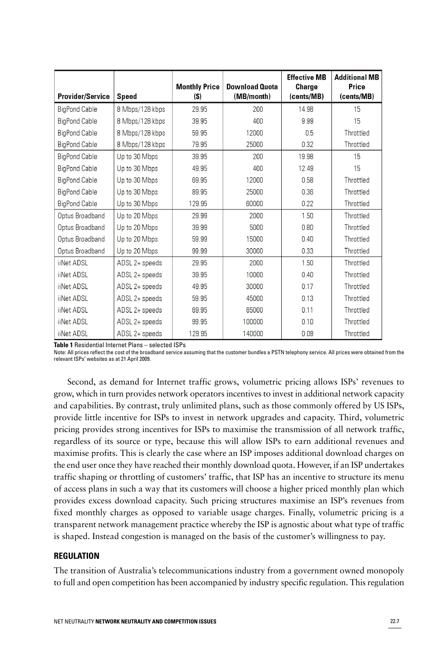| <b>Provider/Service</b> | <b>Speed</b>    | <b>Monthly Price</b><br>$(s)$ | <b>Download Quota</b><br>(MB/month) | <b>Effective MB</b><br><b>Charge</b><br>(cents/MB) | <b>Additional MB</b><br>Price<br>(cents/MB) |
|-------------------------|-----------------|-------------------------------|-------------------------------------|----------------------------------------------------|---------------------------------------------|
| <b>BigPond Cable</b>    | 8 Mbps/128 kbps | 29.95                         | 200                                 | 14.98                                              | 15                                          |
| <b>BigPond Cable</b>    | 8 Mbps/128 kbps | 39.95                         | 400                                 | 9.99                                               | 15                                          |
| <b>BigPond Cable</b>    | 8 Mbps/128 kbps | 59.95                         | 12000                               | 0.5                                                | Throttled                                   |
| <b>BigPond Cable</b>    | 8 Mbps/128 kbps | 79.95                         | 25000                               | 0.32                                               | Throttled                                   |
| <b>BigPond Cable</b>    | Up to 30 Mbps   | 39.95                         | 200                                 | 19.98                                              | 15                                          |
| <b>BigPond Cable</b>    | Up to 30 Mbps   | 49.95                         | 400                                 | 12.49                                              | 15                                          |
| <b>BigPond Cable</b>    | Up to 30 Mbps   | 69.95                         | 12000                               | 0.58                                               | Throttled                                   |
| <b>BigPond Cable</b>    | Up to 30 Mbps   | 89.95                         | 25000                               | 0.36                                               | Throttled                                   |
| <b>BigPond Cable</b>    | Up to 30 Mbps   | 129.95                        | 60000                               | 0.22                                               | Throttled                                   |
| Optus Broadband         | Up to 20 Mbps   | 29.99                         | 2000                                | 1.50                                               | Throttled                                   |
| Optus Broadband         | Up to 20 Mbps   | 39.99                         | 5000                                | 0.80                                               | Throttled                                   |
| Optus Broadband         | Up to 20 Mbps   | 59.99                         | 15000                               | 0.40                                               | Throttled                                   |
| Optus Broadband         | Up to 20 Mbps   | 99.99                         | 30000                               | 0.33                                               | Throttled                                   |
| iiNet ADSL              | ADSL 2+ speeds  | 29.95                         | 2000                                | 1.50                                               | Throttled                                   |
| iiNet ADSL              | ADSL 2+ speeds  | 39.95                         | 10000                               | 0.40                                               | Throttled                                   |
| iiNet ADSL              | ADSL 2+ speeds  | 49.95                         | 30000                               | 0.17                                               | Throttled                                   |
| iiNet ADSL              | ADSL 2+ speeds  | 59.95                         | 45000                               | 0.13                                               | Throttled                                   |
| iiNet ADSL              | ADSL 2+ speeds  | 69.95                         | 65000                               | 0.11                                               | Throttled                                   |
| iiNet ADSL              | ADSL 2+ speeds  | 99.95                         | 100000                              | 0.10                                               | Throttled                                   |
| iiNet ADSL              | ADSL 2+ speeds  | 129.95                        | 140000                              | 0.09                                               | Throttled                                   |

**Table 1** Residential Internet Plans – selected ISPs

Note: All prices reflect the cost of the broadband service assuming that the customer bundles a PSTN telephony service. All prices were obtained from the relevant ISPs' websites as at 21 April 2009.

Second, as demand for Internet traffic grows, volumetric pricing allows ISPs' revenues to grow, which in turn provides network operators incentives to invest in additional network capacity and capabilities. By contrast, truly unlimited plans, such as those commonly offered by US ISPs, provide little incentive for ISPs to invest in network upgrades and capacity. Third, volumetric pricing provides strong incentives for ISPs to maximise the transmission of all network traffic, regardless of its source or type, because this will allow ISPs to earn additional revenues and maximise profits. This is clearly the case where an ISP imposes additional download charges on the end user once they have reached their monthly download quota. However, if an ISP undertakes traffic shaping or throttling of customers' traffic, that ISP has an incentive to structure its menu of access plans in such a way that its customers will choose a higher priced monthly plan which provides excess download capacity. Such pricing structures maximise an ISP's revenues from fixed monthly charges as opposed to variable usage charges. Finally, volumetric pricing is a transparent network management practice whereby the ISP is agnostic about what type of traffic is shaped. Instead congestion is managed on the basis of the customer's willingness to pay.

#### **REGULATION**

The transition of Australia's telecommunications industry from a government owned monopoly to full and open competition has been accompanied by industry specific regulation. This regulation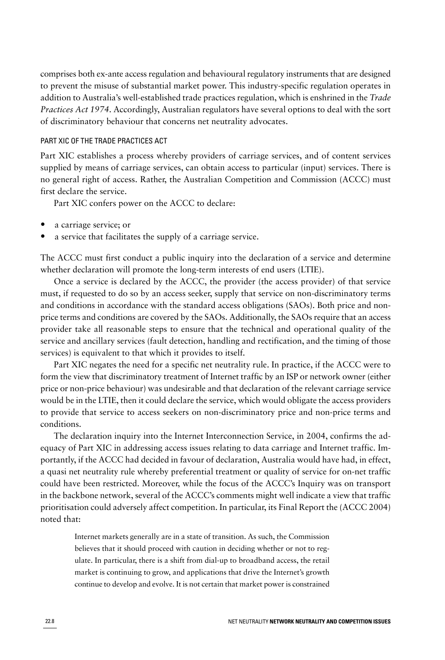comprises both ex-ante access regulation and behavioural regulatory instruments that are designed to prevent the misuse of substantial market power. This industry-specific regulation operates in addition to Australia's well-established trade practices regulation, which is enshrined in the *Trade Practices Act 1974*. Accordingly, Australian regulators have several options to deal with the sort of discriminatory behaviour that concerns net neutrality advocates.

#### PART XIC OF THE TRADE PRACTICES ACT

Part XIC establishes a process whereby providers of carriage services, and of content services supplied by means of carriage services, can obtain access to particular (input) services. There is no general right of access. Rather, the Australian Competition and Commission (ACCC) must first declare the service.

Part XIC confers power on the ACCC to declare:

- a carriage service; or
- a service that facilitates the supply of a carriage service.

The ACCC must first conduct a public inquiry into the declaration of a service and determine whether declaration will promote the long-term interests of end users (LTIE).

Once a service is declared by the ACCC, the provider (the access provider) of that service must, if requested to do so by an access seeker, supply that service on non-discriminatory terms and conditions in accordance with the standard access obligations (SAOs). Both price and nonprice terms and conditions are covered by the SAOs. Additionally, the SAOs require that an access provider take all reasonable steps to ensure that the technical and operational quality of the service and ancillary services (fault detection, handling and rectification, and the timing of those services) is equivalent to that which it provides to itself.

Part XIC negates the need for a specific net neutrality rule. In practice, if the ACCC were to form the view that discriminatory treatment of Internet traffic by an ISP or network owner (either price or non-price behaviour) was undesirable and that declaration of the relevant carriage service would be in the LTIE, then it could declare the service, which would obligate the access providers to provide that service to access seekers on non-discriminatory price and non-price terms and conditions.

The declaration inquiry into the Internet Interconnection Service, in 2004, confirms the adequacy of Part XIC in addressing access issues relating to data carriage and Internet traffic. Importantly, if the ACCC had decided in favour of declaration, Australia would have had, in effect, a quasi net neutrality rule whereby preferential treatment or quality of service for on-net traffic could have been restricted. Moreover, while the focus of the ACCC's Inquiry was on transport in the backbone network, several of the ACCC's comments might well indicate a view that traffic prioritisation could adversely affect competition. In particular, its Final Report the [\(ACCC 2004](#page-9-15)) noted that:

Internet markets generally are in a state of transition. As such, the Commission believes that it should proceed with caution in deciding whether or not to regulate. In particular, there is a shift from dial-up to broadband access, the retail market is continuing to grow, and applications that drive the Internet's growth continue to develop and evolve. It is not certain that market power is constrained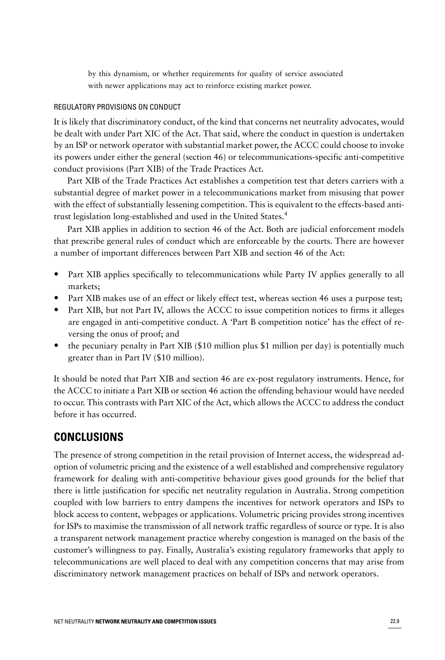by this dynamism, or whether requirements for quality of service associated with newer applications may act to reinforce existing market power.

#### REGULATORY PROVISIONS ON CONDUCT

It is likely that discriminatory conduct, of the kind that concerns net neutrality advocates, would be dealt with under Part XIC of the Act. That said, where the conduct in question is undertaken by an ISP or network operator with substantial market power, the ACCC could choose to invoke its powers under either the general (section 46) or telecommunications-specific anti-competitive conduct provisions (Part XIB) of the Trade Practices Act.

Part XIB of the Trade Practices Act establishes a competition test that deters carriers with a substantial degree of market power in a telecommunications market from misusing that power with the effect of substantially lessening competition. This is equivalent to the effects-based antitrust legislation long-established and used in the United States.<sup>4</sup>

Part XIB applies in addition to section 46 of the Act. Both are judicial enforcement models that prescribe general rules of conduct which are enforceable by the courts. There are however a number of important differences between Part XIB and section 46 of the Act:

- Part XIB applies specifically to telecommunications while Party IV applies generally to all markets;
- Part XIB makes use of an effect or likely effect test, whereas section 46 uses a purpose test;
- Part XIB, but not Part IV, allows the ACCC to issue competition notices to firms it alleges are engaged in anti-competitive conduct. A 'Part B competition notice' has the effect of reversing the onus of proof; and
- the pecuniary penalty in Part XIB (\$10 million plus \$1 million per day) is potentially much greater than in Part IV (\$10 million).

It should be noted that Part XIB and section 46 are ex-post regulatory instruments. Hence, for the ACCC to initiate a Part XIB or section 46 action the offending behaviour would have needed to occur. This contrasts with Part XIC of the Act, which allows the ACCC to address the conduct before it has occurred.

## **CONCLUSIONS**

The presence of strong competition in the retail provision of Internet access, the widespread adoption of volumetric pricing and the existence of a well established and comprehensive regulatory framework for dealing with anti-competitive behaviour gives good grounds for the belief that there is little justification for specific net neutrality regulation in Australia. Strong competition coupled with low barriers to entry dampens the incentives for network operators and ISPs to block access to content, webpages or applications. Volumetric pricing provides strong incentives for ISPs to maximise the transmission of all network traffic regardless of source or type. It is also a transparent network management practice whereby congestion is managed on the basis of the customer's willingness to pay. Finally, Australia's existing regulatory frameworks that apply to telecommunications are well placed to deal with any competition concerns that may arise from discriminatory network management practices on behalf of ISPs and network operators.